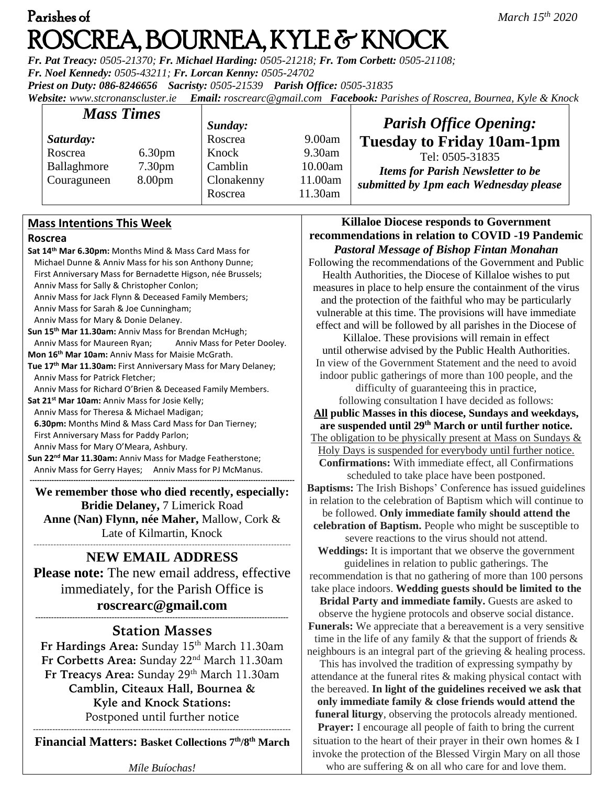# Parishes of *March 15th 2020*  ROSCREA, BOURNEA, KYLE & KNOCK

*Fr. Pat Treacy: 0505-21370; Fr. Michael Harding: 0505-21218; Fr. Tom Corbett: 0505-21108; Fr. Noel Kennedy: 0505-43211; Fr. Lorcan Kenny: 0505-24702 Priest on Duty: 086-8246656 Sacristy: 0505-21539 Parish Office: 0505-31835 Website: [www.stcronanscluster.ie](http://www.stcronanscluster.ie/) Email: [roscrearc@gmail.com](mailto:roscrearc@gmail.com) Facebook: Parishes of Roscrea, Bournea, Kyle & Knock* 

| <b>Mass Times</b> |                    | Sunday:    |           | <b>Parish Office Opening:</b>            |
|-------------------|--------------------|------------|-----------|------------------------------------------|
| Saturday:         |                    | Roscrea    | 9.00am    | <b>Tuesday to Friday 10am-1pm</b>        |
| Roscrea           | 6.30 <sub>pm</sub> | Knock      | $9.30$ am | Tel: 0505-31835                          |
| Ballaghmore       | 7.30 <sub>pm</sub> | Camblin    | 10.00am   | <b>Items for Parish Newsletter to be</b> |
| Couraguneen       | 8.00 <sub>pm</sub> | Clonakenny | 11.00am   | submitted by 1pm each Wednesday please   |
|                   |                    | Roscrea    | 11.30am   |                                          |

# **Mass Intentions This Week**

#### **Roscrea**

**Sat 14th Mar 6.30pm:** Months Mind & Mass Card Mass for Michael Dunne & Anniv Mass for his son Anthony Dunne; First Anniversary Mass for Bernadette Higson, née Brussels; Anniv Mass for Sally & Christopher Conlon; Anniv Mass for Jack Flynn & Deceased Family Members; Anniv Mass for Sarah & Joe Cunningham; Anniv Mass for Mary & Donie Delaney. **Sun 15th Mar 11.30am:** Anniv Mass for Brendan McHugh; Anniv Mass for Maureen Ryan; Anniv Mass for Peter Dooley. **Mon 16th Mar 10am:** Anniv Mass for Maisie McGrath. **Tue 17th Mar 11.30am:** First Anniversary Mass for Mary Delaney; Anniv Mass for Patrick Fletcher; Anniv Mass for Richard O'Brien & Deceased Family Members. **Sat 21st Mar 10am:** Anniv Mass for Josie Kelly; Anniv Mass for Theresa & Michael Madigan; **6.30pm:** Months Mind & Mass Card Mass for Dan Tierney; First Anniversary Mass for Paddy Parlon; Anniv Mass for Mary O'Meara, Ashbury. **Sun 22nd Mar 11.30am:** Anniv Mass for Madge Featherstone; Anniv Mass for Gerry Hayes; Anniv Mass for PJ McManus. **-------------------------------------------------------------------------------------------------------------**

**We remember those who died recently, especially: Bridie Delaney,** 7 Limerick Road **Anne (Nan) Flynn, née Maher,** Mallow, Cork & Late of Kilmartin, Knock

#### ------------------------------------------------------------------------------------------- **NEW EMAIL ADDRESS**

**Please note:** The new email address, effective immediately, for the Parish Office is **[roscrearc@gmail.com](mailto:roscrearc@gmail.com)**

#### **------------------------------------------------------------------------------------------------ Station Masses**

**Fr Hardings Area:** Sunday 15th March 11.30am **Fr Corbetts Area:** Sunday 22nd March 11.30am **Fr Treacys Area: Sunday 29th March 11.30am Camblin, Citeaux Hall, Bournea & Kyle and Knock Stations:** Postponed until further notice ---------------------------------------------------------------------------------------------

**Financial Matters: Basket Collections 7 th/8th March**

*Míle Buíochas!*

# **Killaloe Diocese responds to Government recommendations in relation to COVID -19 Pandemic** *Pastoral Message of Bishop Fintan Monahan*

Following the recommendations of the Government and Public Health Authorities, the Diocese of Killaloe wishes to put measures in place to help ensure the containment of the virus and the protection of the faithful who may be particularly vulnerable at this time. The provisions will have immediate effect and will be followed by all parishes in the Diocese of

Killaloe. These provisions will remain in effect until otherwise advised by the Public Health Authorities. In view of the Government Statement and the need to avoid indoor public gatherings of more than 100 people, and the

difficulty of guaranteeing this in practice,

following consultation I have decided as follows: **All public Masses in this diocese, Sundays and weekdays, are suspended until 29th March or until further notice.** The obligation to be physically present at Mass on Sundays & Holy Days is suspended for everybody until further notice. **Confirmations:** With immediate effect, all Confirmations scheduled to take place have been postponed. **Baptisms:** The Irish Bishops' Conference has issued guidelines

in relation to the celebration of Baptism which will continue to be followed. **Only immediate family should attend the celebration of Baptism.** People who might be susceptible to

severe reactions to the virus should not attend. **Weddings:** It is important that we observe the government

guidelines in relation to public gatherings. The recommendation is that no gathering of more than 100 persons take place indoors. **Wedding guests should be limited to the** 

**Bridal Party and immediate family.** Guests are asked to observe the hygiene protocols and observe social distance. **Funerals:** We appreciate that a bereavement is a very sensitive time in the life of any family  $\&$  that the support of friends  $\&$ neighbours is an integral part of the grieving & healing process.

This has involved the tradition of expressing sympathy by attendance at the funeral rites & making physical contact with the bereaved. **In light of the guidelines received we ask that only immediate family & close friends would attend the funeral liturgy**, observing the protocols already mentioned.

**Prayer:** I encourage all people of faith to bring the current situation to the heart of their prayer in their own homes & I invoke the protection of the Blessed Virgin Mary on all those who are suffering  $\&$  on all who care for and love them.